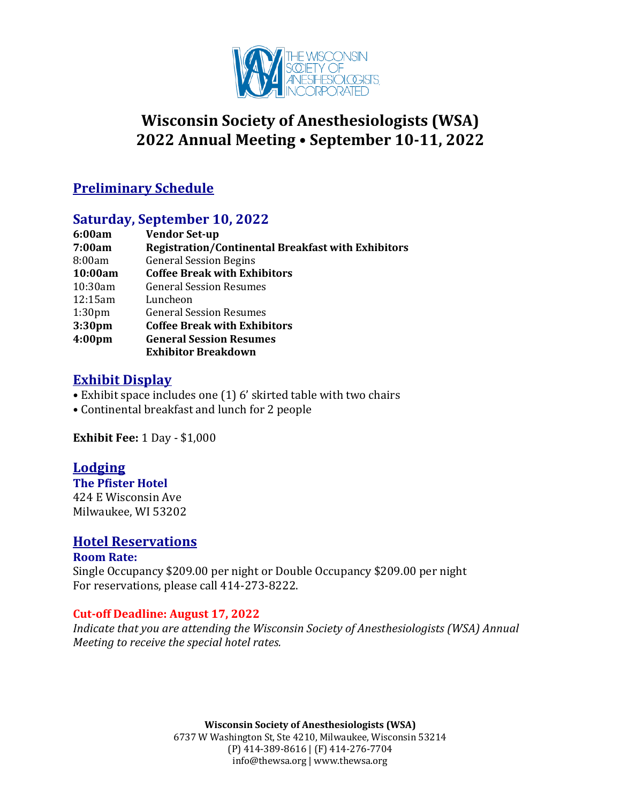

# **Wisconsin Society of Anesthesiologists (WSA) 2022 Annual Meeting • September 10-11, 2022**

## **Preliminary Schedule**

## **Saturday, September 10, 2022**

| <b>Vendor Set-up</b>                                      |
|-----------------------------------------------------------|
| <b>Registration/Continental Breakfast with Exhibitors</b> |
| <b>General Session Begins</b>                             |
| <b>Coffee Break with Exhibitors</b>                       |
| <b>General Session Resumes</b>                            |
| Luncheon                                                  |
| <b>General Session Resumes</b>                            |
| <b>Coffee Break with Exhibitors</b>                       |
| <b>General Session Resumes</b>                            |
| <b>Exhibitor Breakdown</b>                                |
|                                                           |

## **Exhibit Display**

- Exhibit space includes one  $(1)$  6' skirted table with two chairs
- Continental breakfast and lunch for 2 people

**Exhibit Fee: 1 Day - \$1,000** 

## **Lodging**

**The Pfister Hotel** 424 E Wisconsin Ave Milwaukee, WI 53202

#### **Hotel Reservations**

#### **Room Rate:** Single Occupancy \$209.00 per night or Double Occupancy \$209.00 per night For reservations, please call 414-273-8222.

#### **Cut-off Deadline: August 17, 2022**

*Indicate that you are attending the Wisconsin Society of Anesthesiologists (WSA) Annual Meeting to receive the special hotel rates.* 

> **Wisconsin Society of Anesthesiologists (WSA)** 6737 W Washington St, Ste 4210, Milwaukee, Wisconsin 53214 (P) 414-389-8616 | (F) 414-276-7704

info@thewsa.org | www.thewsa.org